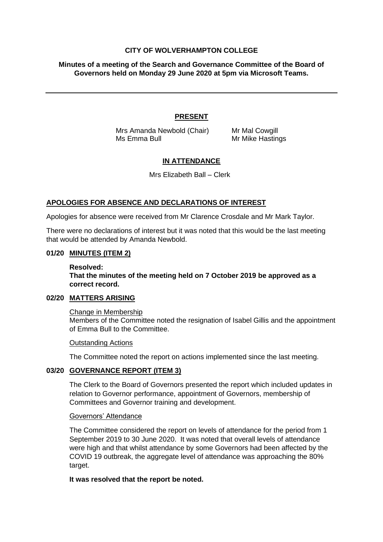## **CITY OF WOLVERHAMPTON COLLEGE**

**Minutes of a meeting of the Search and Governance Committee of the Board of Governors held on Monday 29 June 2020 at 5pm via Microsoft Teams.**

# **PRESENT**

Mrs Amanda Newbold (Chair) Mr Mal Cowgill Ms Emma Bull Mr Mike Hastings

# **IN ATTENDANCE**

Mrs Elizabeth Ball – Clerk

# **APOLOGIES FOR ABSENCE AND DECLARATIONS OF INTEREST**

Apologies for absence were received from Mr Clarence Crosdale and Mr Mark Taylor.

There were no declarations of interest but it was noted that this would be the last meeting that would be attended by Amanda Newbold.

## **01/20 MINUTES (ITEM 2)**

#### **Resolved:**

**That the minutes of the meeting held on 7 October 2019 be approved as a correct record.**

### **02/20 MATTERS ARISING**

### Change in Membership

Members of the Committee noted the resignation of Isabel Gillis and the appointment of Emma Bull to the Committee.

### Outstanding Actions

The Committee noted the report on actions implemented since the last meeting.

# **03/20 GOVERNANCE REPORT (ITEM 3)**

The Clerk to the Board of Governors presented the report which included updates in relation to Governor performance, appointment of Governors, membership of Committees and Governor training and development.

### Governors' Attendance

The Committee considered the report on levels of attendance for the period from 1 September 2019 to 30 June 2020. It was noted that overall levels of attendance were high and that whilst attendance by some Governors had been affected by the COVID 19 outbreak, the aggregate level of attendance was approaching the 80% target.

### **It was resolved that the report be noted.**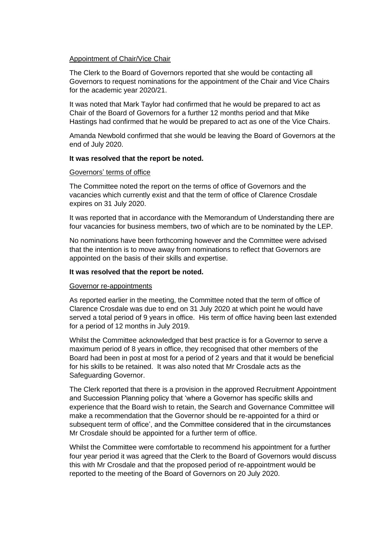# Appointment of Chair/Vice Chair

The Clerk to the Board of Governors reported that she would be contacting all Governors to request nominations for the appointment of the Chair and Vice Chairs for the academic year 2020/21.

It was noted that Mark Taylor had confirmed that he would be prepared to act as Chair of the Board of Governors for a further 12 months period and that Mike Hastings had confirmed that he would be prepared to act as one of the Vice Chairs.

Amanda Newbold confirmed that she would be leaving the Board of Governors at the end of July 2020.

### **It was resolved that the report be noted.**

### Governors' terms of office

The Committee noted the report on the terms of office of Governors and the vacancies which currently exist and that the term of office of Clarence Crosdale expires on 31 July 2020.

It was reported that in accordance with the Memorandum of Understanding there are four vacancies for business members, two of which are to be nominated by the LEP.

No nominations have been forthcoming however and the Committee were advised that the intention is to move away from nominations to reflect that Governors are appointed on the basis of their skills and expertise.

### **It was resolved that the report be noted.**

### Governor re-appointments

As reported earlier in the meeting, the Committee noted that the term of office of Clarence Crosdale was due to end on 31 July 2020 at which point he would have served a total period of 9 years in office. His term of office having been last extended for a period of 12 months in July 2019.

Whilst the Committee acknowledged that best practice is for a Governor to serve a maximum period of 8 years in office, they recognised that other members of the Board had been in post at most for a period of 2 years and that it would be beneficial for his skills to be retained. It was also noted that Mr Crosdale acts as the Safeguarding Governor.

The Clerk reported that there is a provision in the approved Recruitment Appointment and Succession Planning policy that 'where a Governor has specific skills and experience that the Board wish to retain, the Search and Governance Committee will make a recommendation that the Governor should be re-appointed for a third or subsequent term of office', and the Committee considered that in the circumstances Mr Crosdale should be appointed for a further term of office.

Whilst the Committee were comfortable to recommend his appointment for a further four year period it was agreed that the Clerk to the Board of Governors would discuss this with Mr Crosdale and that the proposed period of re-appointment would be reported to the meeting of the Board of Governors on 20 July 2020.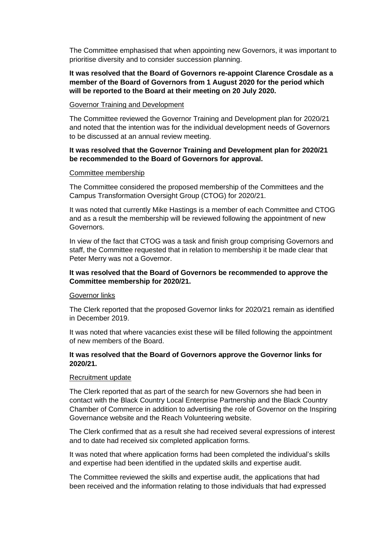The Committee emphasised that when appointing new Governors, it was important to prioritise diversity and to consider succession planning.

# **It was resolved that the Board of Governors re-appoint Clarence Crosdale as a member of the Board of Governors from 1 August 2020 for the period which will be reported to the Board at their meeting on 20 July 2020.**

### Governor Training and Development

The Committee reviewed the Governor Training and Development plan for 2020/21 and noted that the intention was for the individual development needs of Governors to be discussed at an annual review meeting.

# **It was resolved that the Governor Training and Development plan for 2020/21 be recommended to the Board of Governors for approval.**

### Committee membership

The Committee considered the proposed membership of the Committees and the Campus Transformation Oversight Group (CTOG) for 2020/21.

It was noted that currently Mike Hastings is a member of each Committee and CTOG and as a result the membership will be reviewed following the appointment of new Governors.

In view of the fact that CTOG was a task and finish group comprising Governors and staff, the Committee requested that in relation to membership it be made clear that Peter Merry was not a Governor.

### **It was resolved that the Board of Governors be recommended to approve the Committee membership for 2020/21.**

### Governor links

The Clerk reported that the proposed Governor links for 2020/21 remain as identified in December 2019.

It was noted that where vacancies exist these will be filled following the appointment of new members of the Board.

# **It was resolved that the Board of Governors approve the Governor links for 2020/21.**

### Recruitment update

The Clerk reported that as part of the search for new Governors she had been in contact with the Black Country Local Enterprise Partnership and the Black Country Chamber of Commerce in addition to advertising the role of Governor on the Inspiring Governance website and the Reach Volunteering website.

The Clerk confirmed that as a result she had received several expressions of interest and to date had received six completed application forms.

It was noted that where application forms had been completed the individual's skills and expertise had been identified in the updated skills and expertise audit.

The Committee reviewed the skills and expertise audit, the applications that had been received and the information relating to those individuals that had expressed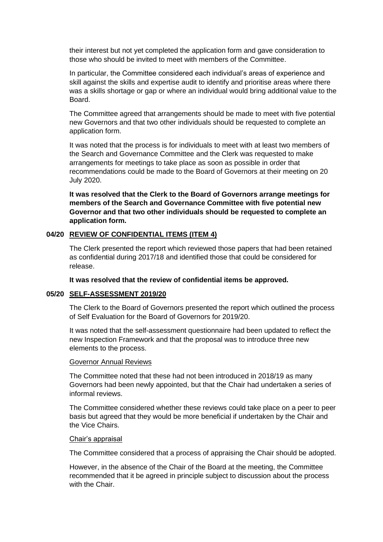their interest but not yet completed the application form and gave consideration to those who should be invited to meet with members of the Committee.

In particular, the Committee considered each individual's areas of experience and skill against the skills and expertise audit to identify and prioritise areas where there was a skills shortage or gap or where an individual would bring additional value to the **Board** 

The Committee agreed that arrangements should be made to meet with five potential new Governors and that two other individuals should be requested to complete an application form.

It was noted that the process is for individuals to meet with at least two members of the Search and Governance Committee and the Clerk was requested to make arrangements for meetings to take place as soon as possible in order that recommendations could be made to the Board of Governors at their meeting on 20 July 2020.

**It was resolved that the Clerk to the Board of Governors arrange meetings for members of the Search and Governance Committee with five potential new Governor and that two other individuals should be requested to complete an application form.**

### **04/20 REVIEW OF CONFIDENTIAL ITEMS (ITEM 4)**

The Clerk presented the report which reviewed those papers that had been retained as confidential during 2017/18 and identified those that could be considered for release.

### **It was resolved that the review of confidential items be approved.**

### **05/20 SELF-ASSESSMENT 2019/20**

The Clerk to the Board of Governors presented the report which outlined the process of Self Evaluation for the Board of Governors for 2019/20.

It was noted that the self-assessment questionnaire had been updated to reflect the new Inspection Framework and that the proposal was to introduce three new elements to the process.

#### Governor Annual Reviews

The Committee noted that these had not been introduced in 2018/19 as many Governors had been newly appointed, but that the Chair had undertaken a series of informal reviews.

The Committee considered whether these reviews could take place on a peer to peer basis but agreed that they would be more beneficial if undertaken by the Chair and the Vice Chairs.

#### Chair's appraisal

The Committee considered that a process of appraising the Chair should be adopted.

However, in the absence of the Chair of the Board at the meeting, the Committee recommended that it be agreed in principle subject to discussion about the process with the Chair.